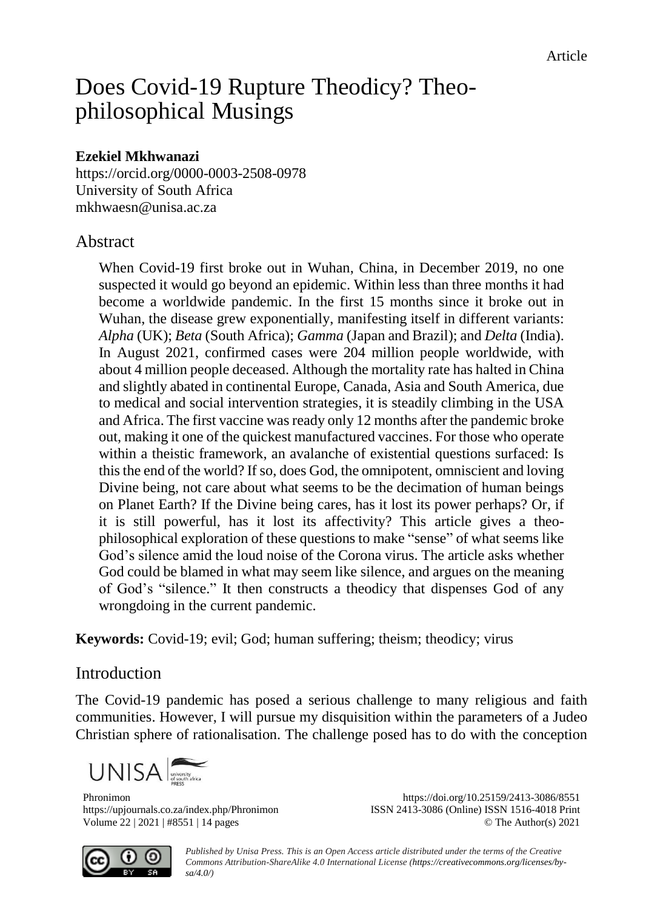# Does Covid-19 Rupture Theodicy? Theophilosophical Musings

# **Ezekiel Mkhwanazi**

<https://orcid.org/0000-0003-2508-0978> University of South Africa [mkhwaesn@unisa.ac.za](mailto:mkhwaesn@unisa.ac.za)

# Abstract

When Covid-19 first broke out in Wuhan, China, in December 2019, no one suspected it would go beyond an epidemic. Within less than three months it had become a worldwide pandemic. In the first 15 months since it broke out in Wuhan, the disease grew exponentially, manifesting itself in different variants: *Alpha* (UK); *Beta* (South Africa); *Gamma* (Japan and Brazil); and *Delta* (India). In August 2021, confirmed cases were 204 million people worldwide, with about 4 million people deceased. Although the mortality rate has halted in China and slightly abated in continental Europe, Canada, Asia and South America, due to medical and social intervention strategies, it is steadily climbing in the USA and Africa. The first vaccine was ready only 12 months after the pandemic broke out, making it one of the quickest manufactured vaccines. For those who operate within a theistic framework, an avalanche of existential questions surfaced: Is this the end of the world? If so, does God, the omnipotent, omniscient and loving Divine being, not care about what seems to be the decimation of human beings on Planet Earth? If the Divine being cares, has it lost its power perhaps? Or, if it is still powerful, has it lost its affectivity? This article gives a theophilosophical exploration of these questions to make "sense" of what seems like God's silence amid the loud noise of the Corona virus. The article asks whether God could be blamed in what may seem like silence, and argues on the meaning of God's "silence." It then constructs a theodicy that dispenses God of any wrongdoing in the current pandemic.

**Keywords:** Covid-19; evil; God; human suffering; theism; theodicy; virus

# Introduction

The Covid-19 pandemic has posed a serious challenge to many religious and faith communities. However, I will pursue my disquisition within the parameters of a Judeo Christian sphere of rationalisation. The challenge posed has to do with the conception



Phronimon <https://doi.org/10.25159/2413-3086/8551> <https://upjournals.co.za/index.php/Phronimon> ISSN 2413-3086 (Online) ISSN 1516-4018 Print Volume 22 | 2021 | #8551 | 14 pages © The Author(s) 2021



*Published by Unisa Press. This is an Open Access article distributed under the terms of the Creative Commons Attribution-ShareAlike 4.0 International License [\(https://creativecommons.org/licenses/by](https://creativecommons.org/licenses/by-sa/4.0/)[sa/4.0/\)](https://creativecommons.org/licenses/by-sa/4.0/)*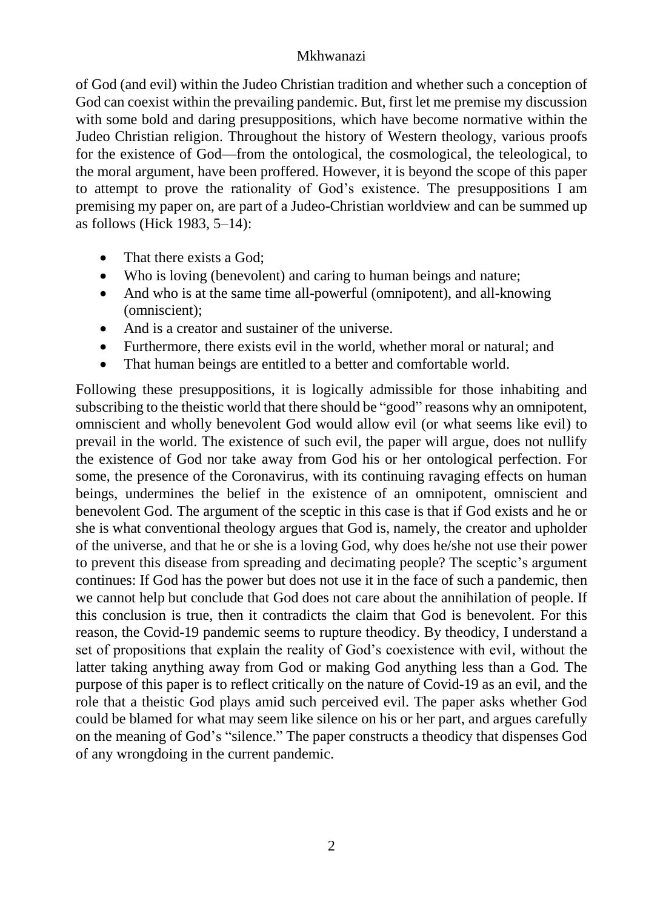of God (and evil) within the Judeo Christian tradition and whether such a conception of God can coexist within the prevailing pandemic. But, first let me premise my discussion with some bold and daring presuppositions, which have become normative within the Judeo Christian religion. Throughout the history of Western theology, various proofs for the existence of God—from the ontological, the cosmological, the teleological, to the moral argument, have been proffered. However, it is beyond the scope of this paper to attempt to prove the rationality of God's existence. The presuppositions I am premising my paper on, are part of a Judeo-Christian worldview and can be summed up as follows (Hick 1983, 5–14):

- That there exists a God;
- Who is loving (benevolent) and caring to human beings and nature;
- And who is at the same time all-powerful (omnipotent), and all-knowing (omniscient);
- And is a creator and sustainer of the universe.
- Furthermore, there exists evil in the world, whether moral or natural; and
- That human beings are entitled to a better and comfortable world.

Following these presuppositions, it is logically admissible for those inhabiting and subscribing to the theistic world that there should be "good" reasons why an omnipotent, omniscient and wholly benevolent God would allow evil (or what seems like evil) to prevail in the world. The existence of such evil, the paper will argue, does not nullify the existence of God nor take away from God his or her ontological perfection. For some, the presence of the Coronavirus, with its continuing ravaging effects on human beings, undermines the belief in the existence of an omnipotent, omniscient and benevolent God. The argument of the sceptic in this case is that if God exists and he or she is what conventional theology argues that God is, namely, the creator and upholder of the universe, and that he or she is a loving God, why does he/she not use their power to prevent this disease from spreading and decimating people? The sceptic's argument continues: If God has the power but does not use it in the face of such a pandemic, then we cannot help but conclude that God does not care about the annihilation of people. If this conclusion is true, then it contradicts the claim that God is benevolent. For this reason, the Covid-19 pandemic seems to rupture theodicy. By theodicy, I understand a set of propositions that explain the reality of God's coexistence with evil, without the latter taking anything away from God or making God anything less than a God. The purpose of this paper is to reflect critically on the nature of Covid-19 as an evil, and the role that a theistic God plays amid such perceived evil. The paper asks whether God could be blamed for what may seem like silence on his or her part, and argues carefully on the meaning of God's "silence." The paper constructs a theodicy that dispenses God of any wrongdoing in the current pandemic.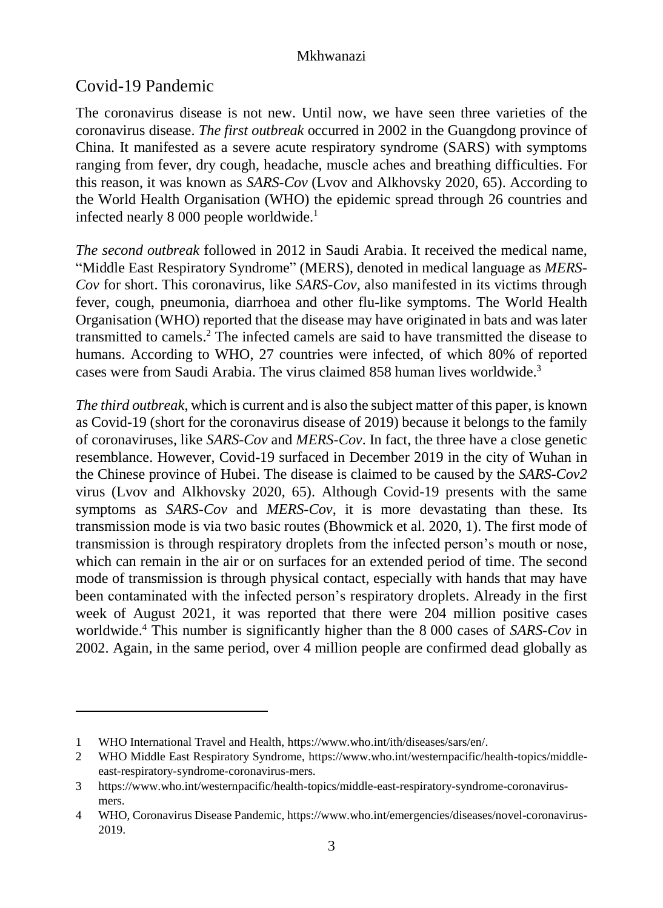# Covid-19 Pandemic

1

The coronavirus disease is not new. Until now, we have seen three varieties of the coronavirus disease. *The first outbreak* occurred in 2002 in the Guangdong province of China. It manifested as a severe acute respiratory syndrome (SARS) with symptoms ranging from fever, dry cough, headache, muscle aches and breathing difficulties. For this reason, it was known as *SARS-Cov* (Lvov and Alkhovsky 2020, 65). According to the World Health Organisation (WHO) the epidemic spread through 26 countries and infected nearly 8 000 people worldwide.<sup>1</sup>

*The second outbreak* followed in 2012 in Saudi Arabia. It received the medical name, "Middle East Respiratory Syndrome" (MERS), denoted in medical language as *MERS-Cov* for short. This coronavirus, like *SARS-Cov,* also manifested in its victims through fever, cough, pneumonia, diarrhoea and other flu-like symptoms. The World Health Organisation (WHO) reported that the disease may have originated in bats and was later transmitted to camels. <sup>2</sup> The infected camels are said to have transmitted the disease to humans. According to WHO, 27 countries were infected, of which 80% of reported cases were from Saudi Arabia. The virus claimed 858 human lives worldwide. 3

*The third outbreak*, which is current and is also the subject matter of this paper, is known as Covid-19 (short for the coronavirus disease of 2019) because it belongs to the family of coronaviruses, like *SARS-Cov* and *MERS-Cov*. In fact, the three have a close genetic resemblance. However, Covid-19 surfaced in December 2019 in the city of Wuhan in the Chinese province of Hubei. The disease is claimed to be caused by the *SARS-Cov2* virus (Lvov and Alkhovsky 2020, 65). Although Covid-19 presents with the same symptoms as *SARS-Cov* and *MERS-Cov*, it is more devastating than these. Its transmission mode is via two basic routes (Bhowmick et al. 2020, 1). The first mode of transmission is through respiratory droplets from the infected person's mouth or nose, which can remain in the air or on surfaces for an extended period of time. The second mode of transmission is through physical contact, especially with hands that may have been contaminated with the infected person's respiratory droplets. Already in the first week of August 2021, it was reported that there were 204 million positive cases worldwide. <sup>4</sup> This number is significantly higher than the 8 000 cases of *SARS-Cov* in 2002. Again, in the same period, over 4 million people are confirmed dead globally as

<sup>1</sup> WHO International Travel and Health, [https://www.who.int/ith/diseases/sars/en/.](https://www.who.int/ith/diseases/sars/en/)

<sup>2</sup> WHO Middle East Respiratory Syndrome, [https://www.who.int/westernpacific/health-topics/middle](https://www.who.int/westernpacific/health-topics/middle-east-respiratory-syndrome-coronavirus-mers)[east-respiratory-syndrome-coronavirus-mers.](https://www.who.int/westernpacific/health-topics/middle-east-respiratory-syndrome-coronavirus-mers)

<sup>3</sup> [https://www.who.int/westernpacific/health-topics/middle-east-respiratory-syndrome-coronavirus](https://www.who.int/westernpacific/health-topics/middle-east-respiratory-syndrome-coronavirus-mers)[mers.](https://www.who.int/westernpacific/health-topics/middle-east-respiratory-syndrome-coronavirus-mers)

<sup>4</sup> WHO, Coronavirus Disease Pandemic[, https://www.who.int/emergencies/diseases/novel-coronavirus-](https://www.who.int/emergencies/diseases/novel-coronavirus-2019)[2019.](https://www.who.int/emergencies/diseases/novel-coronavirus-2019)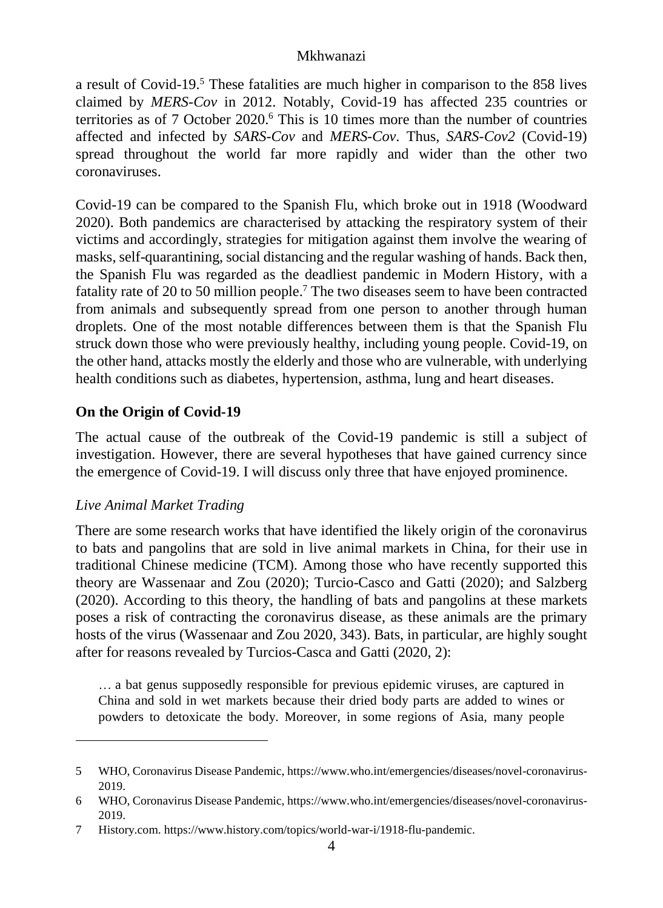a result of Covid-19. <sup>5</sup> These fatalities are much higher in comparison to the 858 lives claimed by *MERS-Cov* in 2012. Notably, Covid-19 has affected 235 countries or territories as of 7 October 2020. <sup>6</sup> This is 10 times more than the number of countries affected and infected by *SARS-Cov* and *MERS-Cov*. Thus, *SARS-Cov2* (Covid-19) spread throughout the world far more rapidly and wider than the other two coronaviruses.

Covid-19 can be compared to the Spanish Flu, which broke out in 1918 (Woodward 2020). Both pandemics are characterised by attacking the respiratory system of their victims and accordingly, strategies for mitigation against them involve the wearing of masks, self-quarantining, social distancing and the regular washing of hands. Back then, the Spanish Flu was regarded as the deadliest pandemic in Modern History, with a fatality rate of 20 to 50 million people. <sup>7</sup> The two diseases seem to have been contracted from animals and subsequently spread from one person to another through human droplets. One of the most notable differences between them is that the Spanish Flu struck down those who were previously healthy, including young people. Covid-19, on the other hand, attacks mostly the elderly and those who are vulnerable, with underlying health conditions such as diabetes, hypertension, asthma, lung and heart diseases.

# **On the Origin of Covid-19**

The actual cause of the outbreak of the Covid-19 pandemic is still a subject of investigation. However, there are several hypotheses that have gained currency since the emergence of Covid-19. I will discuss only three that have enjoyed prominence.

# *Live Animal Market Trading*

1

There are some research works that have identified the likely origin of the coronavirus to bats and pangolins that are sold in live animal markets in China, for their use in traditional Chinese medicine (TCM). Among those who have recently supported this theory are Wassenaar and Zou (2020); Turcio-Casco and Gatti (2020); and Salzberg (2020). According to this theory, the handling of bats and pangolins at these markets poses a risk of contracting the coronavirus disease, as these animals are the primary hosts of the virus (Wassenaar and Zou 2020, 343). Bats, in particular, are highly sought after for reasons revealed by Turcios-Casca and Gatti (2020, 2):

… a bat genus supposedly responsible for previous epidemic viruses, are captured in China and sold in wet markets because their dried body parts are added to wines or powders to detoxicate the body. Moreover, in some regions of Asia, many people

<sup>5</sup> WHO, Coronavirus Disease Pandemic[, https://www.who.int/emergencies/diseases/novel-coronavirus-](https://www.who.int/emergencies/diseases/novel-coronavirus-2019)[2019.](https://www.who.int/emergencies/diseases/novel-coronavirus-2019)

<sup>6</sup> WHO, Coronavirus Disease Pandemic[, https://www.who.int/emergencies/diseases/novel-coronavirus-](https://www.who.int/emergencies/diseases/novel-coronavirus-2019)[2019.](https://www.who.int/emergencies/diseases/novel-coronavirus-2019)

<sup>7</sup> History.com. [https://www.history.com/topics/world-war-i/1918-flu-pandemic.](https://www.history.com/topics/world-war-i/1918-flu-pandemic)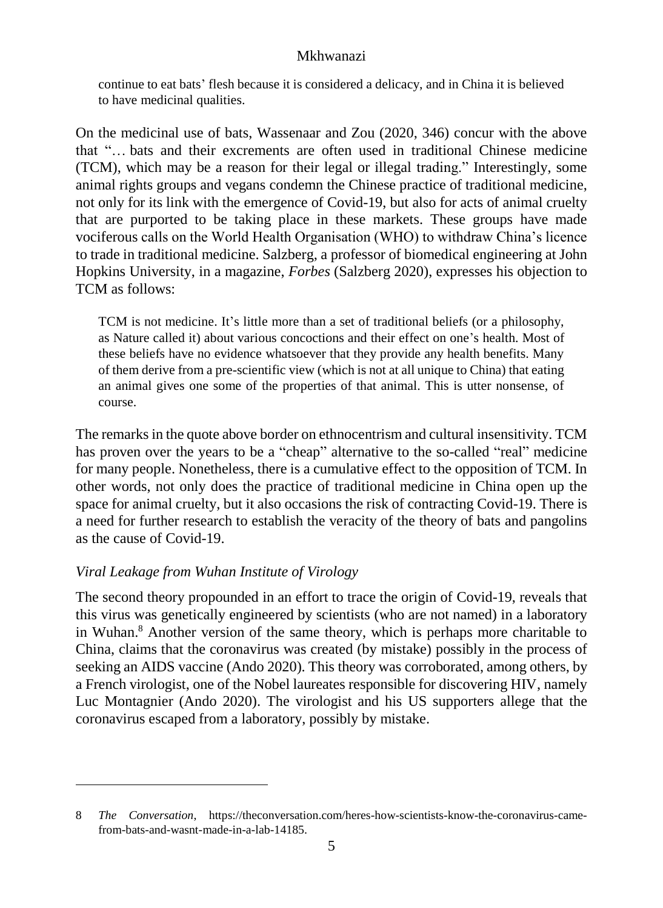continue to eat bats' flesh because it is considered a delicacy, and in China it is believed to have medicinal qualities.

On the medicinal use of bats, Wassenaar and Zou (2020, 346) concur with the above that "… bats and their excrements are often used in traditional Chinese medicine (TCM), which may be a reason for their legal or illegal trading." Interestingly, some animal rights groups and vegans condemn the Chinese practice of traditional medicine, not only for its link with the emergence of Covid-19, but also for acts of animal cruelty that are purported to be taking place in these markets. These groups have made vociferous calls on the World Health Organisation (WHO) to withdraw China's licence to trade in traditional medicine. Salzberg, a professor of biomedical engineering at John Hopkins University, in a magazine, *Forbes* (Salzberg 2020), expresses his objection to TCM as follows:

TCM is not medicine. It's little more than a set of traditional beliefs (or a philosophy, as Nature called it) about various concoctions and their effect on one's health. Most of these beliefs have no evidence whatsoever that they provide any health benefits. Many of them derive from a pre-scientific view (which is not at all unique to China) that eating an animal gives one some of the properties of that animal. This is utter nonsense, of course.

The remarks in the quote above border on ethnocentrism and cultural insensitivity. TCM has proven over the years to be a "cheap" alternative to the so-called "real" medicine for many people. Nonetheless, there is a cumulative effect to the opposition of TCM. In other words, not only does the practice of traditional medicine in China open up the space for animal cruelty, but it also occasions the risk of contracting Covid-19. There is a need for further research to establish the veracity of the theory of bats and pangolins as the cause of Covid-19.

# *Viral Leakage from Wuhan Institute of Virology*

1

The second theory propounded in an effort to trace the origin of Covid-19, reveals that this virus was genetically engineered by scientists (who are not named) in a laboratory in Wuhan. <sup>8</sup> Another version of the same theory, which is perhaps more charitable to China, claims that the coronavirus was created (by mistake) possibly in the process of seeking an AIDS vaccine (Ando 2020). This theory was corroborated, among others, by a French virologist, one of the Nobel laureates responsible for discovering HIV, namely Luc Montagnier (Ando 2020). The virologist and his US supporters allege that the coronavirus escaped from a laboratory, possibly by mistake.

<sup>8</sup> *The Conversation*, [https://theconversation.com/heres-how-scientists-know-the-coronavirus-came](https://theconversation.com/heres-how-scientists-know-the-coronavirus-came-from-bats-and-wasnt-made-in-a-lab-14185)[from-bats-and-wasnt-made-in-a-lab-14185.](https://theconversation.com/heres-how-scientists-know-the-coronavirus-came-from-bats-and-wasnt-made-in-a-lab-14185)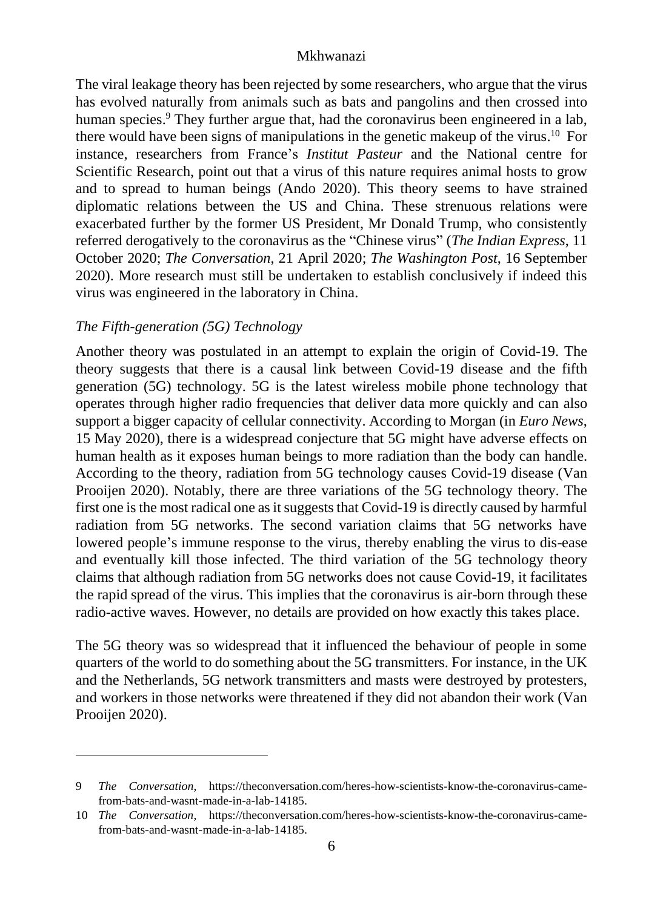The viral leakage theory has been rejected by some researchers, who argue that the virus has evolved naturally from animals such as bats and pangolins and then crossed into human species. <sup>9</sup> They further argue that, had the coronavirus been engineered in a lab, there would have been signs of manipulations in the genetic makeup of the virus. 10 For instance, researchers from France's *Institut Pasteur* and the National centre for Scientific Research, point out that a virus of this nature requires animal hosts to grow and to spread to human beings (Ando 2020). This theory seems to have strained diplomatic relations between the US and China. These strenuous relations were exacerbated further by the former US President, Mr Donald Trump, who consistently referred derogatively to the coronavirus as the "Chinese virus" (*The Indian Express*, 11 October 2020; *The Conversation*, 21 April 2020; *The Washington Post*, 16 September 2020). More research must still be undertaken to establish conclusively if indeed this virus was engineered in the laboratory in China.

#### *The Fifth-generation (5G) Technology*

1

Another theory was postulated in an attempt to explain the origin of Covid-19. The theory suggests that there is a causal link between Covid-19 disease and the fifth generation (5G) technology. 5G is the latest wireless mobile phone technology that operates through higher radio frequencies that deliver data more quickly and can also support a bigger capacity of cellular connectivity. According to Morgan (in *Euro News*, 15 May 2020), there is a widespread conjecture that 5G might have adverse effects on human health as it exposes human beings to more radiation than the body can handle. According to the theory, radiation from 5G technology causes Covid-19 disease (Van Prooijen 2020). Notably, there are three variations of the 5G technology theory. The first one is the most radical one as it suggests that Covid-19 is directly caused by harmful radiation from 5G networks. The second variation claims that 5G networks have lowered people's immune response to the virus, thereby enabling the virus to dis-ease and eventually kill those infected. The third variation of the 5G technology theory claims that although radiation from 5G networks does not cause Covid-19, it facilitates the rapid spread of the virus. This implies that the coronavirus is air-born through these radio-active waves. However, no details are provided on how exactly this takes place.

The 5G theory was so widespread that it influenced the behaviour of people in some quarters of the world to do something about the 5G transmitters. For instance, in the UK and the Netherlands, 5G network transmitters and masts were destroyed by protesters, and workers in those networks were threatened if they did not abandon their work (Van Prooijen 2020).

<sup>9</sup> *The Conversation*, [https://theconversation.com/heres-how-scientists-know-the-coronavirus-came](https://theconversation.com/heres-how-scientists-know-the-coronavirus-came-from-bats-and-wasnt-made-in-a-lab-14185)[from-bats-and-wasnt-made-in-a-lab-14185.](https://theconversation.com/heres-how-scientists-know-the-coronavirus-came-from-bats-and-wasnt-made-in-a-lab-14185)

<sup>10</sup> *The Conversation*, [https://theconversation.com/heres-how-scientists-know-the-coronavirus-came](https://theconversation.com/heres-how-scientists-know-the-coronavirus-came-from-bats-and-wasnt-made-in-a-lab-14185)[from-bats-and-wasnt-made-in-a-lab-14185.](https://theconversation.com/heres-how-scientists-know-the-coronavirus-came-from-bats-and-wasnt-made-in-a-lab-14185)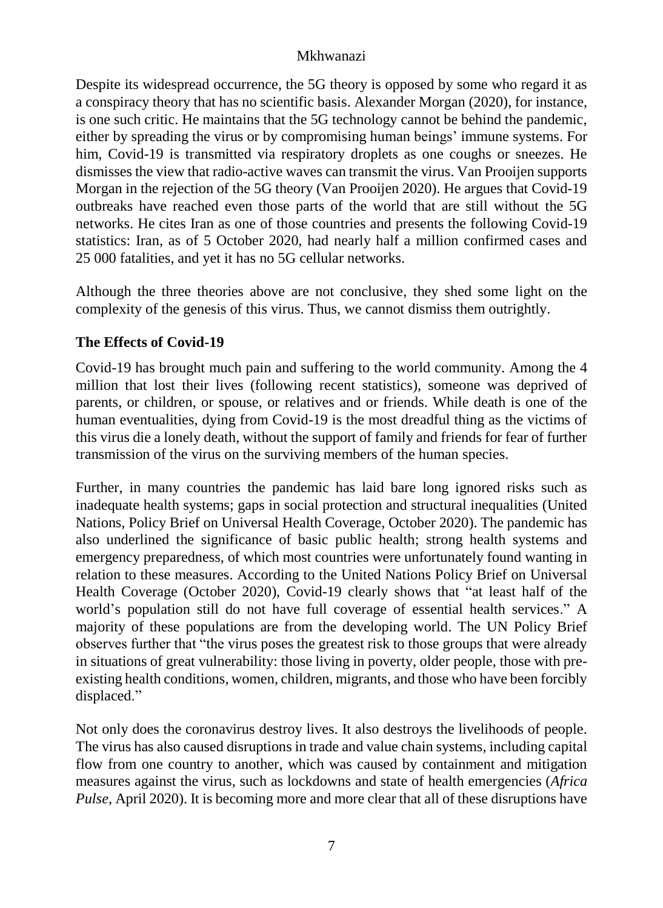Despite its widespread occurrence, the 5G theory is opposed by some who regard it as a conspiracy theory that has no scientific basis. Alexander Morgan (2020), for instance, is one such critic. He maintains that the 5G technology cannot be behind the pandemic, either by spreading the virus or by compromising human beings' immune systems. For him, Covid-19 is transmitted via respiratory droplets as one coughs or sneezes. He dismisses the view that radio-active waves can transmit the virus. Van Prooijen supports Morgan in the rejection of the 5G theory (Van Prooijen 2020). He argues that Covid-19 outbreaks have reached even those parts of the world that are still without the 5G networks. He cites Iran as one of those countries and presents the following Covid-19 statistics: Iran, as of 5 October 2020, had nearly half a million confirmed cases and 25 000 fatalities, and yet it has no 5G cellular networks.

Although the three theories above are not conclusive, they shed some light on the complexity of the genesis of this virus. Thus, we cannot dismiss them outrightly.

# **The Effects of Covid-19**

Covid-19 has brought much pain and suffering to the world community. Among the 4 million that lost their lives (following recent statistics), someone was deprived of parents, or children, or spouse, or relatives and or friends. While death is one of the human eventualities, dying from Covid-19 is the most dreadful thing as the victims of this virus die a lonely death, without the support of family and friends for fear of further transmission of the virus on the surviving members of the human species.

Further, in many countries the pandemic has laid bare long ignored risks such as inadequate health systems; gaps in social protection and structural inequalities (United Nations, Policy Brief on Universal Health Coverage, October 2020). The pandemic has also underlined the significance of basic public health; strong health systems and emergency preparedness, of which most countries were unfortunately found wanting in relation to these measures. According to the United Nations Policy Brief on Universal Health Coverage (October 2020), Covid-19 clearly shows that "at least half of the world's population still do not have full coverage of essential health services." A majority of these populations are from the developing world. The UN Policy Brief observes further that "the virus poses the greatest risk to those groups that were already in situations of great vulnerability: those living in poverty, older people, those with preexisting health conditions, women, children, migrants, and those who have been forcibly displaced."

Not only does the coronavirus destroy lives. It also destroys the livelihoods of people. The virus has also caused disruptions in trade and value chain systems, including capital flow from one country to another, which was caused by containment and mitigation measures against the virus, such as lockdowns and state of health emergencies (*Africa Pulse,* April 2020). It is becoming more and more clear that all of these disruptions have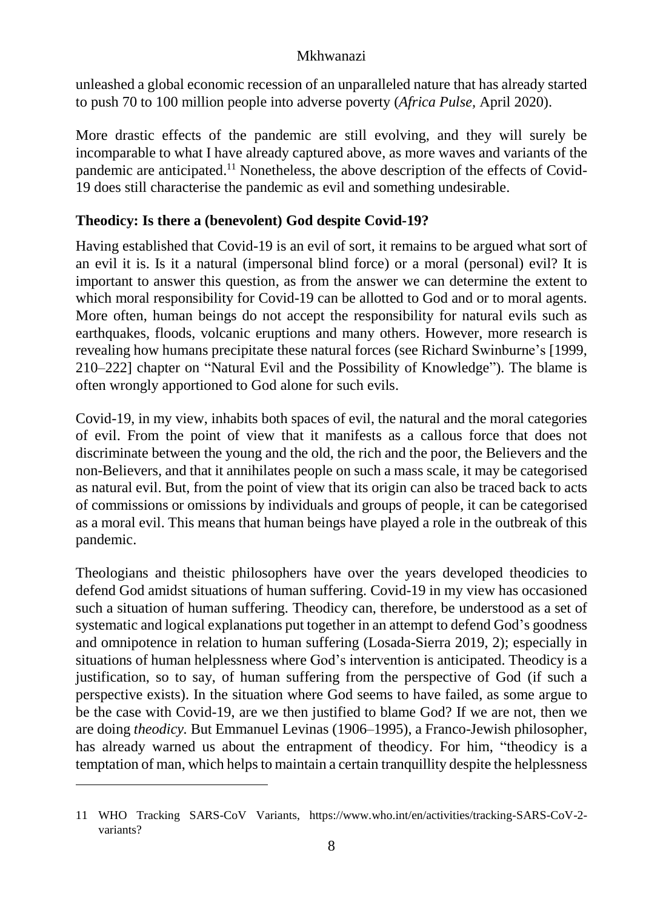unleashed a global economic recession of an unparalleled nature that has already started to push 70 to 100 million people into adverse poverty (*Africa Pulse,* April 2020).

More drastic effects of the pandemic are still evolving, and they will surely be incomparable to what I have already captured above, as more waves and variants of the pandemic are anticipated.<sup>11</sup> Nonetheless, the above description of the effects of Covid-19 does still characterise the pandemic as evil and something undesirable.

# **Theodicy: Is there a (benevolent) God despite Covid-19?**

Having established that Covid-19 is an evil of sort, it remains to be argued what sort of an evil it is. Is it a natural (impersonal blind force) or a moral (personal) evil? It is important to answer this question, as from the answer we can determine the extent to which moral responsibility for Covid-19 can be allotted to God and or to moral agents. More often, human beings do not accept the responsibility for natural evils such as earthquakes, floods, volcanic eruptions and many others. However, more research is revealing how humans precipitate these natural forces (see Richard Swinburne's [1999, 210–222] chapter on "Natural Evil and the Possibility of Knowledge"). The blame is often wrongly apportioned to God alone for such evils.

Covid-19, in my view, inhabits both spaces of evil, the natural and the moral categories of evil. From the point of view that it manifests as a callous force that does not discriminate between the young and the old, the rich and the poor, the Believers and the non-Believers, and that it annihilates people on such a mass scale, it may be categorised as natural evil. But, from the point of view that its origin can also be traced back to acts of commissions or omissions by individuals and groups of people, it can be categorised as a moral evil. This means that human beings have played a role in the outbreak of this pandemic.

Theologians and theistic philosophers have over the years developed theodicies to defend God amidst situations of human suffering. Covid-19 in my view has occasioned such a situation of human suffering. Theodicy can, therefore, be understood as a set of systematic and logical explanations put together in an attempt to defend God's goodness and omnipotence in relation to human suffering (Losada-Sierra 2019, 2); especially in situations of human helplessness where God's intervention is anticipated. Theodicy is a justification, so to say, of human suffering from the perspective of God (if such a perspective exists). In the situation where God seems to have failed, as some argue to be the case with Covid-19, are we then justified to blame God? If we are not, then we are doing *theodicy.* But Emmanuel Levinas (1906–1995), a Franco-Jewish philosopher, has already warned us about the entrapment of theodicy. For him, "theodicy is a temptation of man, which helps to maintain a certain tranquillity despite the helplessness

1

<sup>11</sup> WHO Tracking SARS-CoV Variants, https://www.who.int/en/activities/tracking-SARS-CoV-2 variants?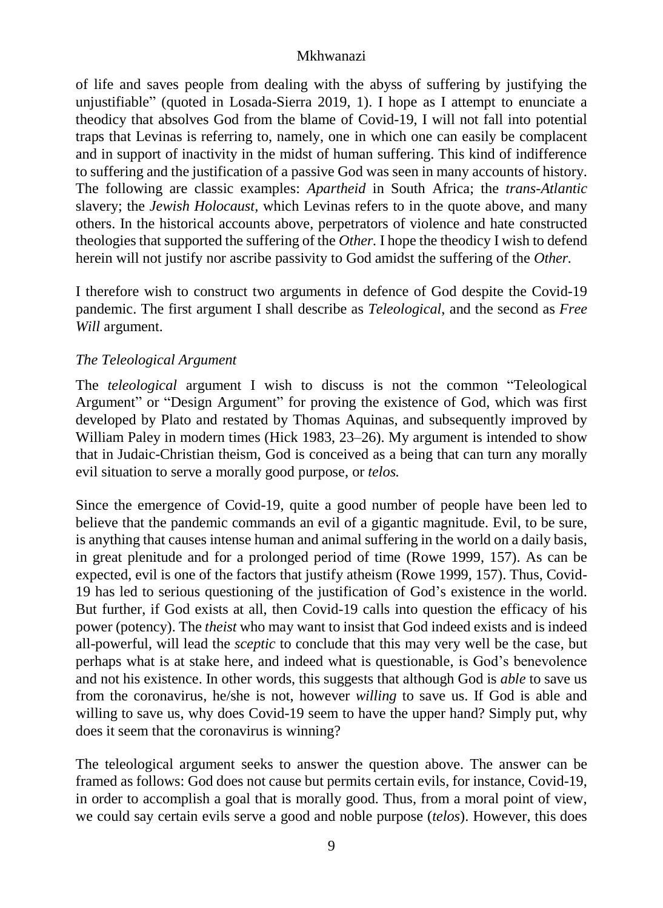of life and saves people from dealing with the abyss of suffering by justifying the unjustifiable" (quoted in Losada-Sierra 2019, 1). I hope as I attempt to enunciate a theodicy that absolves God from the blame of Covid-19, I will not fall into potential traps that Levinas is referring to, namely, one in which one can easily be complacent and in support of inactivity in the midst of human suffering. This kind of indifference to suffering and the justification of a passive God was seen in many accounts of history. The following are classic examples: *Apartheid* in South Africa; the *trans-Atlantic* slavery; the *Jewish Holocaust,* which Levinas refers to in the quote above, and many others. In the historical accounts above, perpetrators of violence and hate constructed theologies that supported the suffering of the *Other.* I hope the theodicy I wish to defend herein will not justify nor ascribe passivity to God amidst the suffering of the *Other.* 

I therefore wish to construct two arguments in defence of God despite the Covid-19 pandemic. The first argument I shall describe as *Teleological*, and the second as *Free Will* argument.

# *The Teleological Argument*

The *teleological* argument I wish to discuss is not the common "Teleological Argument" or "Design Argument" for proving the existence of God, which was first developed by Plato and restated by Thomas Aquinas, and subsequently improved by William Paley in modern times (Hick 1983, 23–26). My argument is intended to show that in Judaic-Christian theism, God is conceived as a being that can turn any morally evil situation to serve a morally good purpose, or *telos.* 

Since the emergence of Covid-19, quite a good number of people have been led to believe that the pandemic commands an evil of a gigantic magnitude. Evil, to be sure, is anything that causes intense human and animal suffering in the world on a daily basis, in great plenitude and for a prolonged period of time (Rowe 1999, 157). As can be expected, evil is one of the factors that justify atheism (Rowe 1999, 157). Thus, Covid-19 has led to serious questioning of the justification of God's existence in the world. But further, if God exists at all, then Covid-19 calls into question the efficacy of his power (potency). The *theist* who may want to insist that God indeed exists and is indeed all-powerful, will lead the *sceptic* to conclude that this may very well be the case, but perhaps what is at stake here, and indeed what is questionable, is God's benevolence and not his existence. In other words, this suggests that although God is *able* to save us from the coronavirus, he/she is not, however *willing* to save us. If God is able and willing to save us, why does Covid-19 seem to have the upper hand? Simply put, why does it seem that the coronavirus is winning?

The teleological argument seeks to answer the question above. The answer can be framed as follows: God does not cause but permits certain evils, for instance, Covid-19, in order to accomplish a goal that is morally good. Thus, from a moral point of view, we could say certain evils serve a good and noble purpose (*telos*). However, this does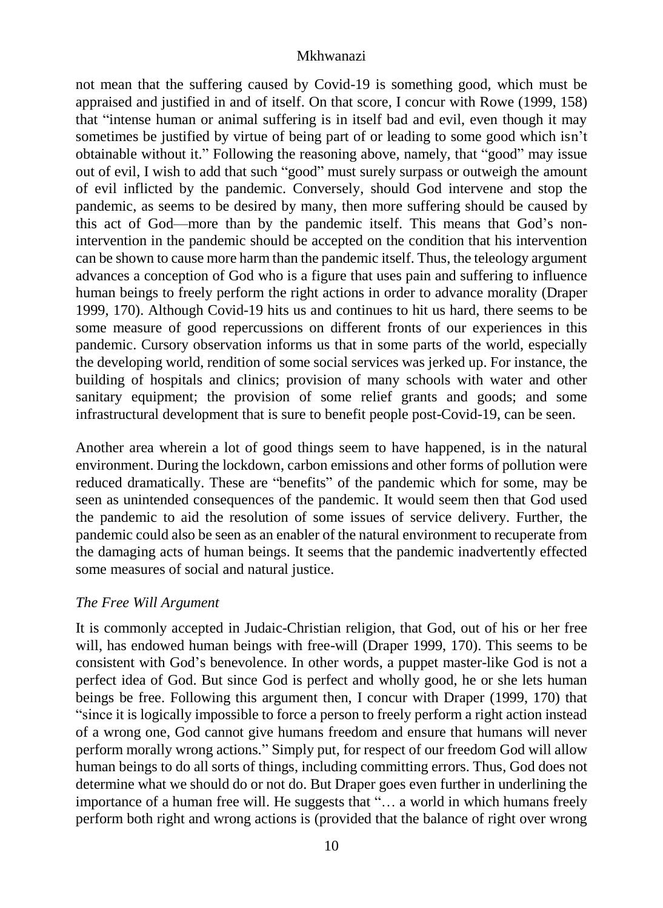not mean that the suffering caused by Covid-19 is something good, which must be appraised and justified in and of itself. On that score, I concur with Rowe (1999, 158) that "intense human or animal suffering is in itself bad and evil, even though it may sometimes be justified by virtue of being part of or leading to some good which isn't obtainable without it." Following the reasoning above, namely, that "good" may issue out of evil, I wish to add that such "good" must surely surpass or outweigh the amount of evil inflicted by the pandemic. Conversely, should God intervene and stop the pandemic, as seems to be desired by many, then more suffering should be caused by this act of God—more than by the pandemic itself. This means that God's nonintervention in the pandemic should be accepted on the condition that his intervention can be shown to cause more harm than the pandemic itself. Thus, the teleology argument advances a conception of God who is a figure that uses pain and suffering to influence human beings to freely perform the right actions in order to advance morality (Draper 1999, 170). Although Covid-19 hits us and continues to hit us hard, there seems to be some measure of good repercussions on different fronts of our experiences in this pandemic. Cursory observation informs us that in some parts of the world, especially the developing world, rendition of some social services was jerked up. For instance, the building of hospitals and clinics; provision of many schools with water and other sanitary equipment; the provision of some relief grants and goods; and some infrastructural development that is sure to benefit people post-Covid-19, can be seen.

Another area wherein a lot of good things seem to have happened, is in the natural environment. During the lockdown, carbon emissions and other forms of pollution were reduced dramatically. These are "benefits" of the pandemic which for some, may be seen as unintended consequences of the pandemic. It would seem then that God used the pandemic to aid the resolution of some issues of service delivery. Further, the pandemic could also be seen as an enabler of the natural environment to recuperate from the damaging acts of human beings. It seems that the pandemic inadvertently effected some measures of social and natural justice.

# *The Free Will Argument*

It is commonly accepted in Judaic-Christian religion, that God, out of his or her free will, has endowed human beings with free-will (Draper 1999, 170). This seems to be consistent with God's benevolence. In other words, a puppet master-like God is not a perfect idea of God. But since God is perfect and wholly good, he or she lets human beings be free. Following this argument then, I concur with Draper (1999, 170) that "since it is logically impossible to force a person to freely perform a right action instead of a wrong one, God cannot give humans freedom and ensure that humans will never perform morally wrong actions." Simply put, for respect of our freedom God will allow human beings to do all sorts of things, including committing errors. Thus, God does not determine what we should do or not do. But Draper goes even further in underlining the importance of a human free will. He suggests that "… a world in which humans freely perform both right and wrong actions is (provided that the balance of right over wrong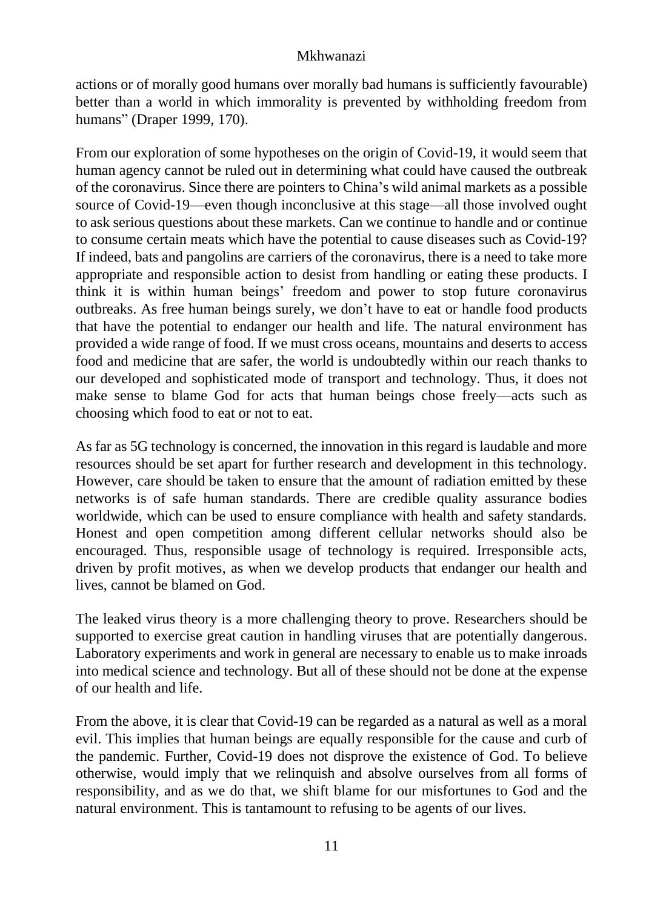actions or of morally good humans over morally bad humans is sufficiently favourable) better than a world in which immorality is prevented by withholding freedom from humans" (Draper 1999, 170).

From our exploration of some hypotheses on the origin of Covid-19, it would seem that human agency cannot be ruled out in determining what could have caused the outbreak of the coronavirus. Since there are pointers to China's wild animal markets as a possible source of Covid-19—even though inconclusive at this stage—all those involved ought to ask serious questions about these markets. Can we continue to handle and or continue to consume certain meats which have the potential to cause diseases such as Covid-19? If indeed, bats and pangolins are carriers of the coronavirus, there is a need to take more appropriate and responsible action to desist from handling or eating these products. I think it is within human beings' freedom and power to stop future coronavirus outbreaks. As free human beings surely, we don't have to eat or handle food products that have the potential to endanger our health and life. The natural environment has provided a wide range of food. If we must cross oceans, mountains and deserts to access food and medicine that are safer, the world is undoubtedly within our reach thanks to our developed and sophisticated mode of transport and technology. Thus, it does not make sense to blame God for acts that human beings chose freely—acts such as choosing which food to eat or not to eat.

As far as 5G technology is concerned, the innovation in this regard is laudable and more resources should be set apart for further research and development in this technology. However, care should be taken to ensure that the amount of radiation emitted by these networks is of safe human standards. There are credible quality assurance bodies worldwide, which can be used to ensure compliance with health and safety standards. Honest and open competition among different cellular networks should also be encouraged. Thus, responsible usage of technology is required. Irresponsible acts, driven by profit motives, as when we develop products that endanger our health and lives, cannot be blamed on God.

The leaked virus theory is a more challenging theory to prove. Researchers should be supported to exercise great caution in handling viruses that are potentially dangerous. Laboratory experiments and work in general are necessary to enable us to make inroads into medical science and technology. But all of these should not be done at the expense of our health and life.

From the above, it is clear that Covid-19 can be regarded as a natural as well as a moral evil. This implies that human beings are equally responsible for the cause and curb of the pandemic. Further, Covid-19 does not disprove the existence of God. To believe otherwise, would imply that we relinquish and absolve ourselves from all forms of responsibility, and as we do that, we shift blame for our misfortunes to God and the natural environment. This is tantamount to refusing to be agents of our lives.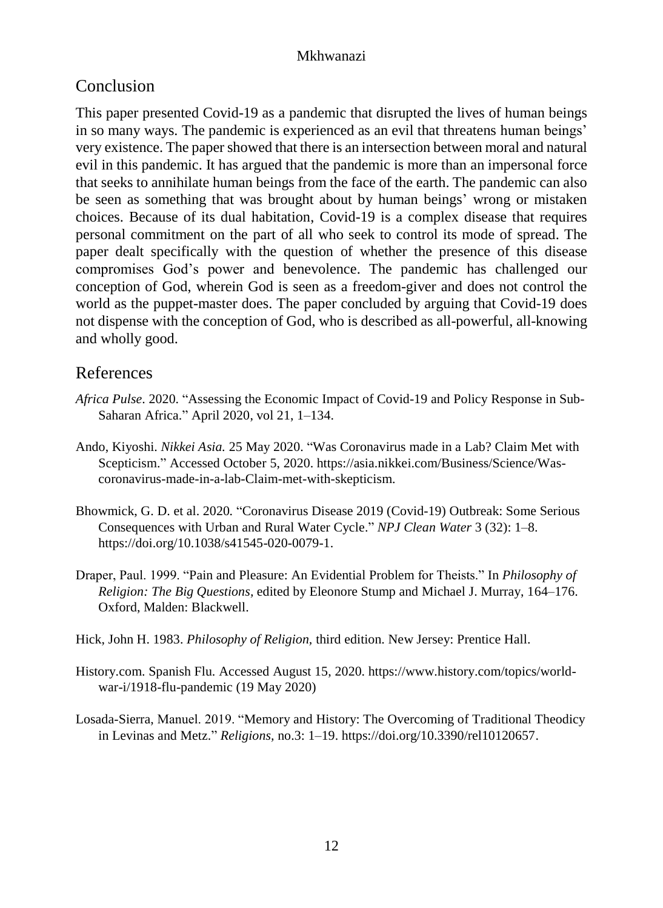# Conclusion

This paper presented Covid-19 as a pandemic that disrupted the lives of human beings in so many ways. The pandemic is experienced as an evil that threatens human beings' very existence. The paper showed that there is an intersection between moral and natural evil in this pandemic. It has argued that the pandemic is more than an impersonal force that seeks to annihilate human beings from the face of the earth. The pandemic can also be seen as something that was brought about by human beings' wrong or mistaken choices. Because of its dual habitation, Covid-19 is a complex disease that requires personal commitment on the part of all who seek to control its mode of spread. The paper dealt specifically with the question of whether the presence of this disease compromises God's power and benevolence. The pandemic has challenged our conception of God, wherein God is seen as a freedom-giver and does not control the world as the puppet-master does. The paper concluded by arguing that Covid-19 does not dispense with the conception of God, who is described as all-powerful, all-knowing and wholly good.

# References

- *Africa Pulse*. 2020. "Assessing the Economic Impact of Covid-19 and Policy Response in Sub-Saharan Africa." April 2020, vol 21, 1–134.
- Ando, Kiyoshi. *Nikkei Asia.* 25 May 2020. "Was Coronavirus made in a Lab? Claim Met with Scepticism." Accessed October 5, 2020. [https://asia.nikkei.com/Business/Science/Was](https://asia.nikkei.com/Business/Science/Was-coronavirus-made-in-a-lab-Claim-met-with-skepticism)[coronavirus-made-in-a-lab-Claim-met-with-skepticism.](https://asia.nikkei.com/Business/Science/Was-coronavirus-made-in-a-lab-Claim-met-with-skepticism)
- Bhowmick, G. D. et al. 2020*.* "Coronavirus Disease 2019 (Covid-19) Outbreak: Some Serious Consequences with Urban and Rural Water Cycle." *NPJ Clean Water* 3 (32): 1–8. [https://doi.org/10.1038/s41545-020-0079-1.](https://doi.org/10.1038/s41545-020-0079-1)
- Draper, Paul. 1999. "Pain and Pleasure: An Evidential Problem for Theists." In *Philosophy of Religion: The Big Questions,* edited by Eleonore Stump and Michael J. Murray, 164–176. Oxford, Malden: Blackwell.
- Hick, John H. 1983. *Philosophy of Religion,* third edition. New Jersey: Prentice Hall.
- History.com. Spanish Flu. Accessed August 15, 2020[. https://www.history.com/topics/world](https://www.history.com/topics/world-war-i/1918-flu-pandemic)[war-i/1918-flu-pandemic](https://www.history.com/topics/world-war-i/1918-flu-pandemic) (19 May 2020)
- Losada-Sierra, Manuel. 2019. "Memory and History: The Overcoming of Traditional Theodicy in Levinas and Metz." *Religions,* no.3: 1–19. [https://doi.org/10.3390/rel10120657.](https://doi.org/10.3390/rel10120657)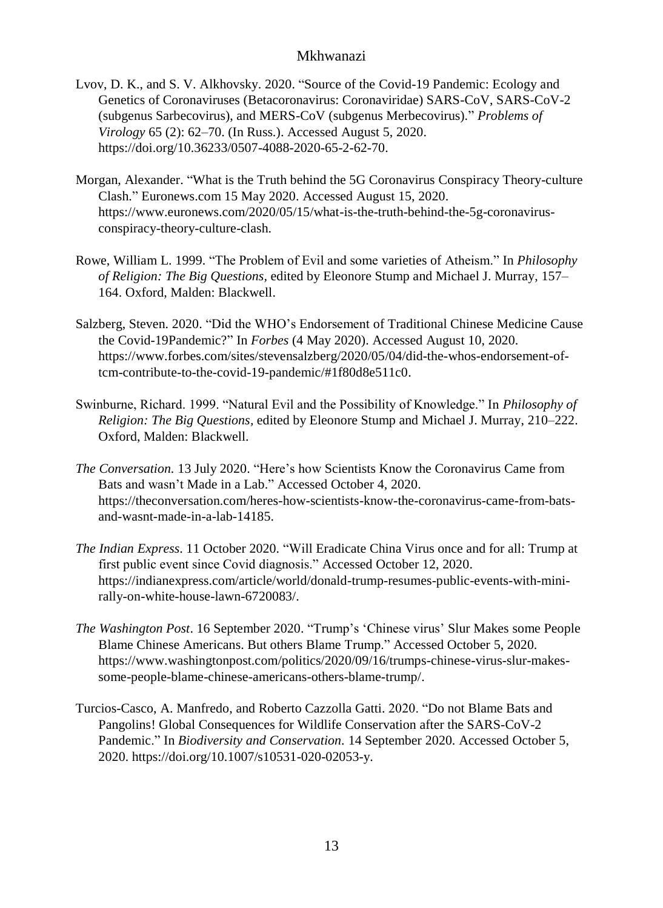- Lvov, D. K., and S. V. Alkhovsky. 2020. "Source of the Covid-19 Pandemic: Ecology and Genetics of Coronaviruses (Betacoronavirus: Coronaviridae) SARS-CoV, SARS-CoV-2 (subgenus Sarbecovirus), and MERS-CoV (subgenus Merbecovirus)." *Problems of Virology* 65 (2): 62–70. (In Russ.). Accessed August 5, 2020. [https://doi.org/10.36233/0507-4088-2020-65-2-62-70.](https://doi.org/10.36233/0507-4088-2020-65-2-62-70)
- Morgan, Alexander. "What is the Truth behind the 5G Coronavirus Conspiracy Theory-culture Clash." Euronews.com 15 May 2020. Accessed August 15, 2020. [https://www.euronews.com/2020/05/15/what-is-the-truth-behind-the-5g-coronavirus](https://www.euronews.com/2020/05/15/what-is-the-truth-behind-the-5g-coronavirus-conspiracy-theory-culture-clash)[conspiracy-theory-culture-clash.](https://www.euronews.com/2020/05/15/what-is-the-truth-behind-the-5g-coronavirus-conspiracy-theory-culture-clash)
- Rowe, William L. 1999. "The Problem of Evil and some varieties of Atheism." In *Philosophy of Religion: The Big Questions,* edited by Eleonore Stump and Michael J. Murray, 157– 164. Oxford, Malden: Blackwell.
- Salzberg, Steven. 2020. "Did the WHO's Endorsement of Traditional Chinese Medicine Cause the Covid-19Pandemic?" In *Forbes* (4 May 2020). Accessed August 10, 2020. [https://www.forbes.com/sites/stevensalzberg/2020/05/04/did-the-whos-endorsement-of](https://www.forbes.com/sites/stevensalzberg/2020/05/04/did-the-whos-endorsement-of-tcm-contribute-to-the-covid-19-pandemic/#1f80d8e511c0)[tcm-contribute-to-the-covid-19-pandemic/#1f80d8e511c0.](https://www.forbes.com/sites/stevensalzberg/2020/05/04/did-the-whos-endorsement-of-tcm-contribute-to-the-covid-19-pandemic/#1f80d8e511c0)
- Swinburne, Richard. 1999. "Natural Evil and the Possibility of Knowledge." In *Philosophy of Religion: The Big Questions,* edited by Eleonore Stump and Michael J. Murray, 210–222. Oxford, Malden: Blackwell.
- *The Conversation.* 13 July 2020. "Here's how Scientists Know the Coronavirus Came from Bats and wasn't Made in a Lab." Accessed October 4, 2020. [https://theconversation.com/heres-how-scientists-know-the-coronavirus-came-from-bats](https://theconversation.com/heres-how-scientists-know-the-coronavirus-came-from-bats-and-wasnt-made-in-a-lab-14185)[and-wasnt-made-in-a-lab-14185.](https://theconversation.com/heres-how-scientists-know-the-coronavirus-came-from-bats-and-wasnt-made-in-a-lab-14185)
- *The Indian Express*. 11 October 2020. "Will Eradicate China Virus once and for all: Trump at first public event since Covid diagnosis." Accessed October 12, 2020. [https://indianexpress.com/article/world/donald-trump-resumes-public-events-with-mini](https://indianexpress.com/article/world/donald-trump-resumes-public-events-with-mini-rally-on-white-house-lawn-6720083/)[rally-on-white-house-lawn-6720083/.](https://indianexpress.com/article/world/donald-trump-resumes-public-events-with-mini-rally-on-white-house-lawn-6720083/)
- *The Washington Post*. 16 September 2020. "Trump's 'Chinese virus' Slur Makes some People Blame Chinese Americans. But others Blame Trump." Accessed October 5, 2020. [https://www.washingtonpost.com/politics/2020/09/16/trumps-chinese-virus-slur-makes](https://www.washingtonpost.com/politics/2020/09/16/trumps-chinese-virus-slur-makes-some-people-blame-chinese-americans-others-blame-trump/)[some-people-blame-chinese-americans-others-blame-trump/.](https://www.washingtonpost.com/politics/2020/09/16/trumps-chinese-virus-slur-makes-some-people-blame-chinese-americans-others-blame-trump/)
- Turcios-Casco, A. Manfredo, and Roberto Cazzolla Gatti. 2020. "Do not Blame Bats and Pangolins! Global Consequences for Wildlife Conservation after the SARS-CoV-2 Pandemic." In *Biodiversity and Conservation.* 14 September 2020. Accessed October 5, 2020[. https://doi.org/10.1007/s10531-020-02053-y.](https://doi.org/10.1007/s10531-020-02053-y)